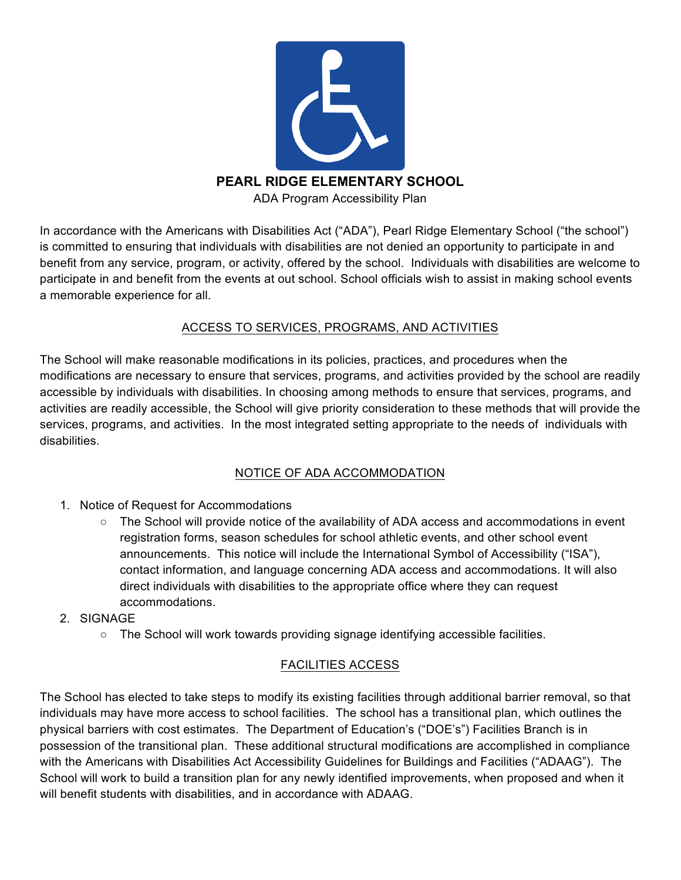

In accordance with the Americans with Disabilities Act ("ADA"), Pearl Ridge Elementary School ("the school") is committed to ensuring that individuals with disabilities are not denied an opportunity to participate in and benefit from any service, program, or activity, offered by the school. Individuals with disabilities are welcome to participate in and benefit from the events at out school. School officials wish to assist in making school events a memorable experience for all.

## ACCESS TO SERVICES, PROGRAMS, AND ACTIVITIES

The School will make reasonable modifications in its policies, practices, and procedures when the modifications are necessary to ensure that services, programs, and activities provided by the school are readily accessible by individuals with disabilities. In choosing among methods to ensure that services, programs, and activities are readily accessible, the School will give priority consideration to these methods that will provide the services, programs, and activities. In the most integrated setting appropriate to the needs of individuals with disabilities.

## NOTICE OF ADA ACCOMMODATION

- 1. Notice of Request for Accommodations
	- The School will provide notice of the availability of ADA access and accommodations in event registration forms, season schedules for school athletic events, and other school event announcements. This notice will include the International Symbol of Accessibility ("ISA"), contact information, and language concerning ADA access and accommodations. It will also direct individuals with disabilities to the appropriate office where they can request accommodations.
- 2. SIGNAGE
	- The School will work towards providing signage identifying accessible facilities.

## FACILITIES ACCESS

The School has elected to take steps to modify its existing facilities through additional barrier removal, so that individuals may have more access to school facilities. The school has a transitional plan, which outlines the physical barriers with cost estimates. The Department of Education's ("DOE's") Facilities Branch is in possession of the transitional plan. These additional structural modifications are accomplished in compliance with the Americans with Disabilities Act Accessibility Guidelines for Buildings and Facilities ("ADAAG"). The School will work to build a transition plan for any newly identified improvements, when proposed and when it will benefit students with disabilities, and in accordance with ADAAG.